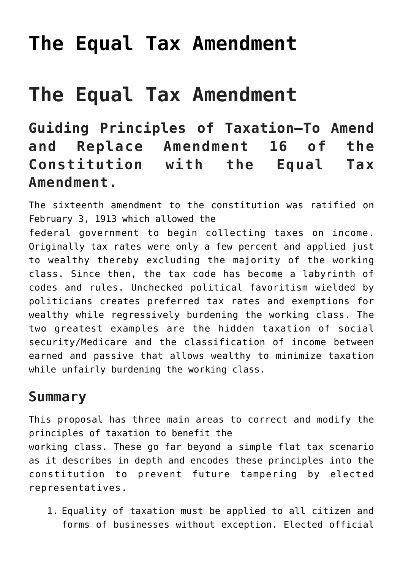## **[The Equal Tax Amendment](https://freedomists.com/the-equal-tax-amendment/)**

# **The Equal Tax Amendment**

**Guiding Principles of Taxation—To Amend and Replace Amendment 16 of the Constitution with the Equal Tax Amendment.**

The sixteenth amendment to the constitution was ratified on February 3, 1913 which allowed the

federal government to begin collecting taxes on income. Originally tax rates were only a few percent and applied just to wealthy thereby excluding the majority of the working class. Since then, the tax code has become a labyrinth of codes and rules. Unchecked political favoritism wielded by politicians creates preferred tax rates and exemptions for wealthy while regressively burdening the working class. The two greatest examples are the hidden taxation of social security/Medicare and the classification of income between earned and passive that allows wealthy to minimize taxation while unfairly burdening the working class.

### **Summary**

This proposal has three main areas to correct and modify the principles of taxation to benefit the working class. These go far beyond a simple flat tax scenario as it describes in depth and encodes these principles into the constitution to prevent future tampering by elected representatives.

1. Equality of taxation must be applied to all citizen and forms of businesses without exception. Elected official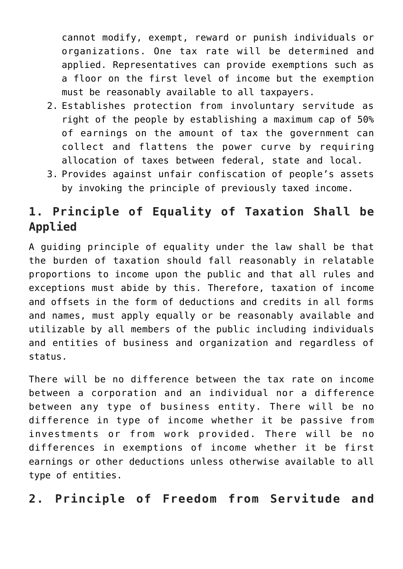cannot modify, exempt, reward or punish individuals or organizations. One tax rate will be determined and applied. Representatives can provide exemptions such as a floor on the first level of income but the exemption must be reasonably available to all taxpayers.

- 2. Establishes protection from involuntary servitude as right of the people by establishing a maximum cap of 50% of earnings on the amount of tax the government can collect and flattens the power curve by requiring allocation of taxes between federal, state and local.
- 3. Provides against unfair confiscation of people's assets by invoking the principle of previously taxed income.

## **1. Principle of Equality of Taxation Shall be Applied**

A guiding principle of equality under the law shall be that the burden of taxation should fall reasonably in relatable proportions to income upon the public and that all rules and exceptions must abide by this. Therefore, taxation of income and offsets in the form of deductions and credits in all forms and names, must apply equally or be reasonably available and utilizable by all members of the public including individuals and entities of business and organization and regardless of status.

There will be no difference between the tax rate on income between a corporation and an individual nor a difference between any type of business entity. There will be no difference in type of income whether it be passive from investments or from work provided. There will be no differences in exemptions of income whether it be first earnings or other deductions unless otherwise available to all type of entities.

#### **2. Principle of Freedom from Servitude and**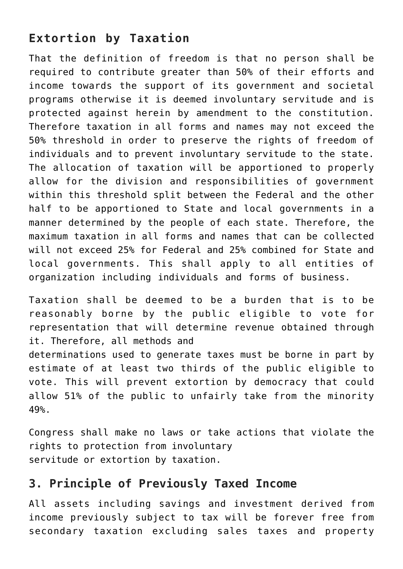### **Extortion by Taxation**

That the definition of freedom is that no person shall be required to contribute greater than 50% of their efforts and income towards the support of its government and societal programs otherwise it is deemed involuntary servitude and is protected against herein by amendment to the constitution. Therefore taxation in all forms and names may not exceed the 50% threshold in order to preserve the rights of freedom of individuals and to prevent involuntary servitude to the state. The allocation of taxation will be apportioned to properly allow for the division and responsibilities of government within this threshold split between the Federal and the other half to be apportioned to State and local governments in a manner determined by the people of each state. Therefore, the maximum taxation in all forms and names that can be collected will not exceed 25% for Federal and 25% combined for State and local governments. This shall apply to all entities of organization including individuals and forms of business.

Taxation shall be deemed to be a burden that is to be reasonably borne by the public eligible to vote for representation that will determine revenue obtained through it. Therefore, all methods and

determinations used to generate taxes must be borne in part by estimate of at least two thirds of the public eligible to vote. This will prevent extortion by democracy that could allow 51% of the public to unfairly take from the minority 49%.

Congress shall make no laws or take actions that violate the rights to protection from involuntary servitude or extortion by taxation.

#### **3. Principle of Previously Taxed Income**

All assets including savings and investment derived from income previously subject to tax will be forever free from secondary taxation excluding sales taxes and property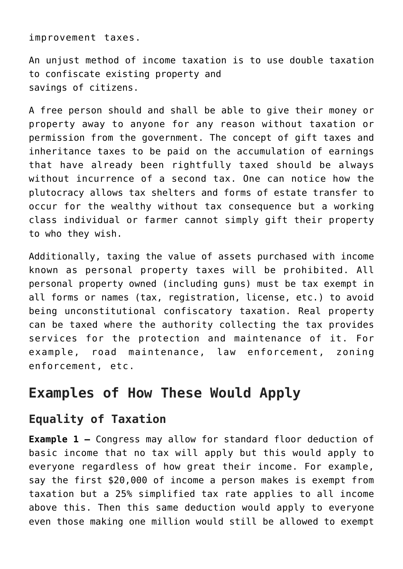improvement taxes.

An unjust method of income taxation is to use double taxation to confiscate existing property and savings of citizens.

A free person should and shall be able to give their money or property away to anyone for any reason without taxation or permission from the government. The concept of gift taxes and inheritance taxes to be paid on the accumulation of earnings that have already been rightfully taxed should be always without incurrence of a second tax. One can notice how the plutocracy allows tax shelters and forms of estate transfer to occur for the wealthy without tax consequence but a working class individual or farmer cannot simply gift their property to who they wish.

Additionally, taxing the value of assets purchased with income known as personal property taxes will be prohibited. All personal property owned (including guns) must be tax exempt in all forms or names (tax, registration, license, etc.) to avoid being unconstitutional confiscatory taxation. Real property can be taxed where the authority collecting the tax provides services for the protection and maintenance of it. For example, road maintenance, law enforcement, zoning enforcement, etc.

## **Examples of How These Would Apply**

#### **Equality of Taxation**

**Example 1 –** Congress may allow for standard floor deduction of basic income that no tax will apply but this would apply to everyone regardless of how great their income. For example, say the first \$20,000 of income a person makes is exempt from taxation but a 25% simplified tax rate applies to all income above this. Then this same deduction would apply to everyone even those making one million would still be allowed to exempt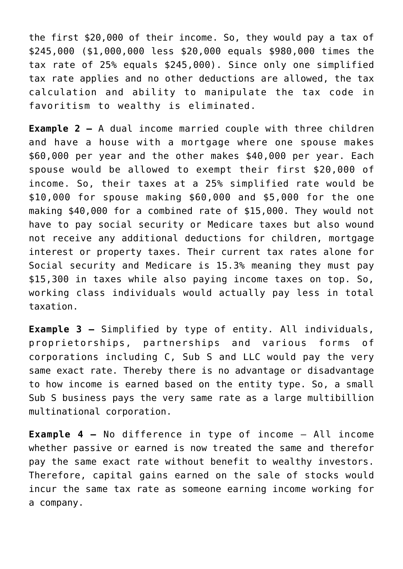the first \$20,000 of their income. So, they would pay a tax of \$245,000 (\$1,000,000 less \$20,000 equals \$980,000 times the tax rate of 25% equals \$245,000). Since only one simplified tax rate applies and no other deductions are allowed, the tax calculation and ability to manipulate the tax code in favoritism to wealthy is eliminated.

**Example 2 –** A dual income married couple with three children and have a house with a mortgage where one spouse makes \$60,000 per year and the other makes \$40,000 per year. Each spouse would be allowed to exempt their first \$20,000 of income. So, their taxes at a 25% simplified rate would be \$10,000 for spouse making \$60,000 and \$5,000 for the one making \$40,000 for a combined rate of \$15,000. They would not have to pay social security or Medicare taxes but also wound not receive any additional deductions for children, mortgage interest or property taxes. Their current tax rates alone for Social security and Medicare is 15.3% meaning they must pay \$15,300 in taxes while also paying income taxes on top. So, working class individuals would actually pay less in total taxation.

**Example 3 –** Simplified by type of entity. All individuals, proprietorships, partnerships and various forms of corporations including C, Sub S and LLC would pay the very same exact rate. Thereby there is no advantage or disadvantage to how income is earned based on the entity type. So, a small Sub S business pays the very same rate as a large multibillion multinational corporation.

**Example 4 –** No difference in type of income – All income whether passive or earned is now treated the same and therefor pay the same exact rate without benefit to wealthy investors. Therefore, capital gains earned on the sale of stocks would incur the same tax rate as someone earning income working for a company.